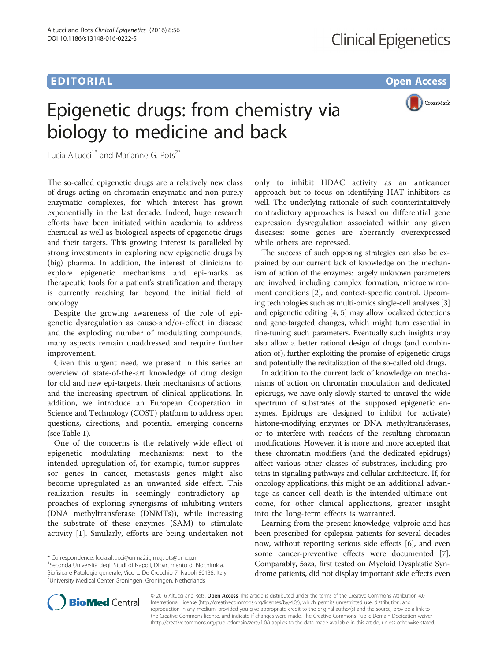# EDITORIAL AND CONTROL CONTROL CONTROL CONTROL CONTROL CONTROL CONTROL CONTROL CONTROL CONTROL CONTROL CONTROL CONTROL CONTROL CONTROL CONTROL CONTROL CONTROL CONTROL CONTROL CONTROL CONTROL CONTROL CONTROL CONTROL CONTROL

CrossMark

# Epigenetic drugs: from chemistry via biology to medicine and back

Lucia Altucci<sup>1\*</sup> and Marianne G. Rots<sup>2\*</sup>

The so-called epigenetic drugs are a relatively new class of drugs acting on chromatin enzymatic and non-purely enzymatic complexes, for which interest has grown exponentially in the last decade. Indeed, huge research efforts have been initiated within academia to address chemical as well as biological aspects of epigenetic drugs and their targets. This growing interest is paralleled by strong investments in exploring new epigenetic drugs by (big) pharma. In addition, the interest of clinicians to explore epigenetic mechanisms and epi-marks as therapeutic tools for a patient's stratification and therapy is currently reaching far beyond the initial field of oncology.

Despite the growing awareness of the role of epigenetic dysregulation as cause-and/or-effect in disease and the exploding number of modulating compounds, many aspects remain unaddressed and require further improvement.

Given this urgent need, we present in this series an overview of state-of-the-art knowledge of drug design for old and new epi-targets, their mechanisms of actions, and the increasing spectrum of clinical applications. In addition, we introduce an European Cooperation in Science and Technology (COST) platform to address open questions, directions, and potential emerging concerns (see Table [1](#page-1-0)).

One of the concerns is the relatively wide effect of epigenetic modulating mechanisms: next to the intended upregulation of, for example, tumor suppressor genes in cancer, metastasis genes might also become upregulated as an unwanted side effect. This realization results in seemingly contradictory approaches of exploring synergisms of inhibiting writers (DNA methyltransferase (DNMTs)), while increasing the substrate of these enzymes (SAM) to stimulate activity [[1\]](#page-1-0). Similarly, efforts are being undertaken not only to inhibit HDAC activity as an anticancer approach but to focus on identifying HAT inhibitors as well. The underlying rationale of such counterintuitively contradictory approaches is based on differential gene expression dysregulation associated within any given diseases: some genes are aberrantly overexpressed while others are repressed.

The success of such opposing strategies can also be explained by our current lack of knowledge on the mechanism of action of the enzymes: largely unknown parameters are involved including complex formation, microenvironment conditions [\[2\]](#page-1-0), and context-specific control. Upcoming technologies such as multi-omics single-cell analyses [[3](#page-1-0)] and epigenetic editing [[4](#page-2-0), [5](#page-2-0)] may allow localized detections and gene-targeted changes, which might turn essential in fine-tuning such parameters. Eventually such insights may also allow a better rational design of drugs (and combination of), further exploiting the promise of epigenetic drugs and potentially the revitalization of the so-called old drugs.

In addition to the current lack of knowledge on mechanisms of action on chromatin modulation and dedicated epidrugs, we have only slowly started to unravel the wide spectrum of substrates of the supposed epigenetic enzymes. Epidrugs are designed to inhibit (or activate) histone-modifying enzymes or DNA methyltransferases, or to interfere with readers of the resulting chromatin modifications. However, it is more and more accepted that these chromatin modifiers (and the dedicated epidrugs) affect various other classes of substrates, including proteins in signaling pathways and cellular architecture. If, for oncology applications, this might be an additional advantage as cancer cell death is the intended ultimate outcome, for other clinical applications, greater insight into the long-term effects is warranted.

Learning from the present knowledge, valproic acid has been prescribed for epilepsia patients for several decades now, without reporting serious side effects [[6](#page-2-0)], and even some cancer-preventive effects were documented [[7](#page-2-0)]. Comparably, 5aza, first tested on Myeloid Dysplastic Syndrome patients, did not display important side effects even



© 2016 Altucci and Rots. Open Access This article is distributed under the terms of the Creative Commons Attribution 4.0 International License [\(http://creativecommons.org/licenses/by/4.0/](http://creativecommons.org/licenses/by/4.0/)), which permits unrestricted use, distribution, and reproduction in any medium, provided you give appropriate credit to the original author(s) and the source, provide a link to the Creative Commons license, and indicate if changes were made. The Creative Commons Public Domain Dedication waiver [\(http://creativecommons.org/publicdomain/zero/1.0/](http://creativecommons.org/publicdomain/zero/1.0/)) applies to the data made available in this article, unless otherwise stated.

<sup>\*</sup> Correspondence: [lucia.altucci@unina2.it;](mailto:lucia.altucci@unina2.it) [m.g.rots@umcg.nl](mailto:m.g.rots@umcg.nl) <sup>1</sup>

<sup>&</sup>lt;sup>1</sup> Seconda Università degli Studi di Napoli, Dipartimento di Biochimica, Biofisica e Patologia generale, Vico L. De Crecchio 7, Napoli 80138, Italy 2 University Medical Center Groningen, Groningen, Netherlands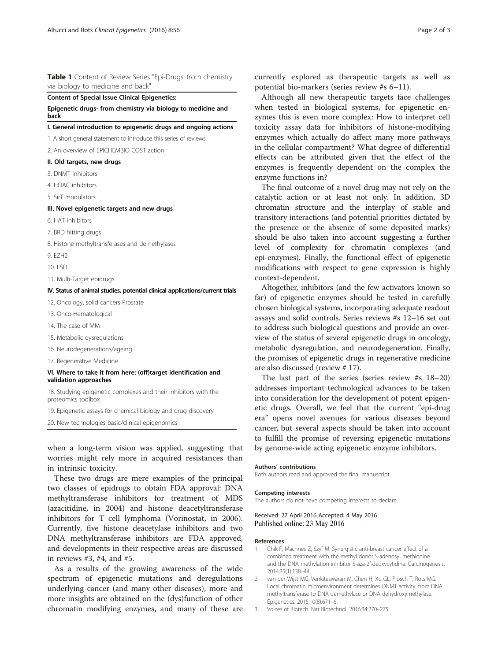## <span id="page-1-0"></span>Table 1 Content of Review Series "Epi-Drugs: from chemistry via biology to medicine and back"

### Content of Special Issue Clinical Epigenetics:

Epigenetic drugs- from chemistry via biology to medicine and back

#### I. General introduction to epigenetic drugs and ongoing actions

1. A short general statement to introduce this series of reviews

- 2. An overview of EPICHEMBIO COST action
- II. Old targets, new drugs
- 3. DNMT inhibitors
- 4. HDAC inhibitors
- 5. SirT modulators

#### III. Novel epigenetic targets and new drugs

- 6. HAT inhibitors
- 7. BRD hitting drugs
- 8. Histone methyltransferases and demethylases
- 9. EZH2
- 10. LSD
- 11. Multi-Target epidrugs

## IV. Status of animal studies, potential clinical applications/current trials

12. Oncology, solid cancers Prostate

- 13. Onco-Hematological
- 14. The case of MM
- 15. Metabolic dysregulations
- 16. Neurodegenerations/ageing
- 17. Regenerative Medicine

#### VI. Where to take it from here: (off)target identification and validation approaches

18. Studying epigenetic complexes and their inhibitors with the proteomics toolbox

19. Epigenetic assays for chemical biology and drug discovery

20. New technologies basic/clinical epigenomics

when a long-term vision was applied, suggesting that worries might rely more in acquired resistances than in intrinsic toxicity.

These two drugs are mere examples of the principal two classes of epidrugs to obtain FDA approval: DNA methyltransferase inhibitors for treatment of MDS (azacitidine, in 2004) and histone deacetyltransferase inhibitors for T cell lymphoma (Vorinostat, in 2006). Currently, five histone deacetylase inhibitors and two DNA methyltransferase inhibitors are FDA approved, and developments in their respective areas are discussed in reviews #3, #4, and #5.

As a results of the growing awareness of the wide spectrum of epigenetic mutations and deregulations underlying cancer (and many other diseases), more and more insights are obtained on the (dys)function of other chromatin modifying enzymes, and many of these are currently explored as therapeutic targets as well as potential bio-markers (series review #s 6–11).

Although all new therapeutic targets face challenges when tested in biological systems, for epigenetic enzymes this is even more complex: How to interpret cell toxicity assay data for inhibitors of histone-modifying enzymes which actually do affect many more pathways in the cellular compartment? What degree of differential effects can be attributed given that the effect of the enzymes is frequently dependent on the complex the enzyme functions in?

The final outcome of a novel drug may not rely on the catalytic action or at least not only. In addition, 3D chromatin structure and the interplay of stable and transitory interactions (and potential priorities dictated by the presence or the absence of some deposited marks) should be also taken into account suggesting a further level of complexity for chromatin complexes (and epi-enzymes). Finally, the functional effect of epigenetic modifications with respect to gene expression is highly context-dependent.

Altogether, inhibitors (and the few activators known so far) of epigenetic enzymes should be tested in carefully chosen biological systems, incorporating adequate readout assays and solid controls. Series reviews #s 12–16 set out to address such biological questions and provide an overview of the status of several epigenetic drugs in oncology, metabolic dysregulation, and neurodegeneration. Finally, the promises of epigenetic drugs in regenerative medicine are also discussed (review # 17).

The last part of the series (series review #s 18–20) addresses important technological advances to be taken into consideration for the development of potent epigenetic drugs. Overall, we feel that the current "epi-drug era" opens novel avenues for various diseases beyond cancer, but several aspects should be taken into account to fulfill the promise of reversing epigenetic mutations by genome-wide acting epigenetic enzyme inhibitors.

#### Authors' contributions

Both authors read and approved the final manuscript.

#### Competing interests

The authors do not have competing interests to declare.

Received: 27 April 2016 Accepted: 4 May 2016 Published online: 23 May 2016

#### References

- 1. Chik F, Machnes Z, Szyf M. Synergistic anti-breast cancer effect of a combined treatment with the methyl donor S-adenosyl methionine and the DNA methylation inhibitor 5-aza-2′-deoxycytidine. Carcinogenesis. 2014;35(1):138–44.
- 2. van der Wijst MG, Venkiteswaran M, Chen H, Xu GL, Plösch T, Rots MG. Local chromatin microenvironment determines DNMT activity: from DNA methyltransferase to DNA demethylase or DNA dehydroxymethylase. Epigenetics. 2015;10(8):671–6.
- 3. Voices of Biotech. Nat Biotechnol. 2016;34:270–275